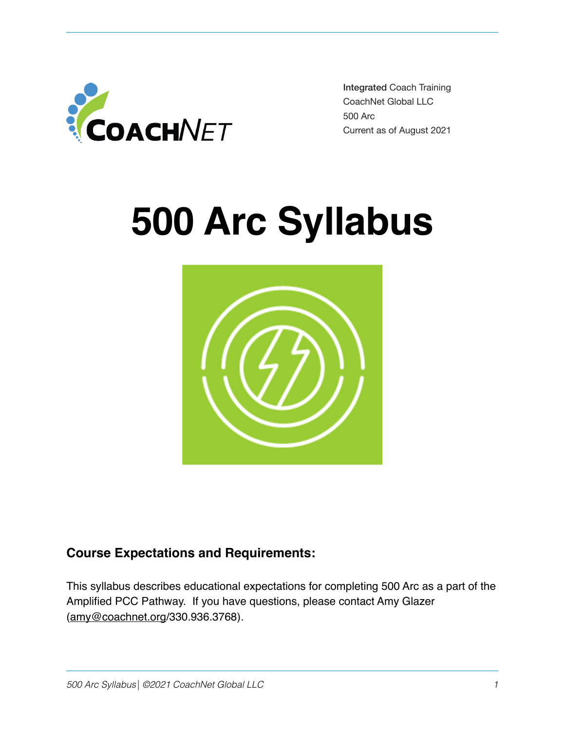

Integrated Coach Training CoachNet Global LLC 500 Arc Current as of August 2021

# **500 Arc Syllabus**



# **Course Expectations and Requirements:**

This syllabus describes educational expectations for completing 500 Arc as a part of the Amplified PCC Pathway. If you have questions, please contact Amy Glazer ([amy@coachnet.org](mailto:amy@coachnet.org)/330.936.3768).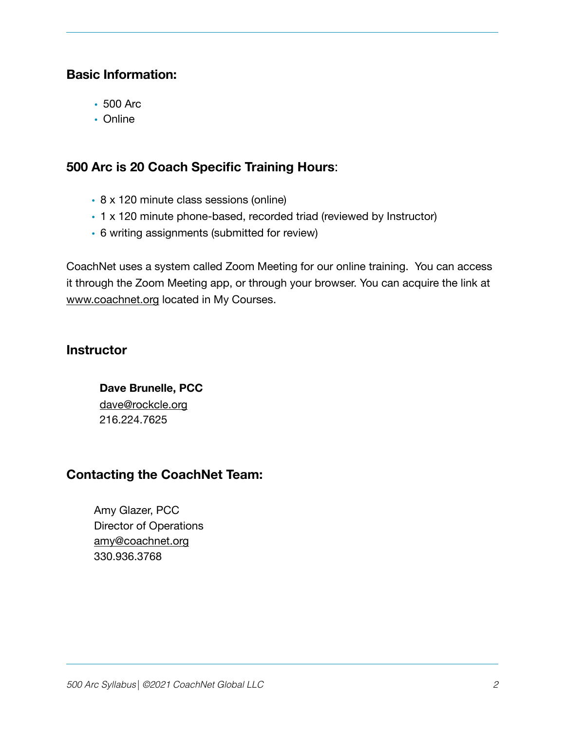#### **Basic Information:**

- 500 Arc
- Online

# **500 Arc is 20 Coach Specific Training Hours**:

- 8 x 120 minute class sessions (online)
- 1 x 120 minute phone-based, recorded triad (reviewed by Instructor)
- 6 writing assignments (submitted for review)

CoachNet uses a system called Zoom Meeting for our online training. You can access it through the Zoom Meeting app, or through your browser. You can acquire the link at [www.coachnet.org](http://www.coachnet.org) located in My Courses.

#### **Instructor**

**Dave Brunelle, PCC** [dave@rockcle.org](mailto:dave@rockcle.org) 216.224.7625

# **Contacting the CoachNet Team:**

Amy Glazer, PCC Director of Operations [amy@coachnet.org](mailto:amy@coachnet.org) 330.936.3768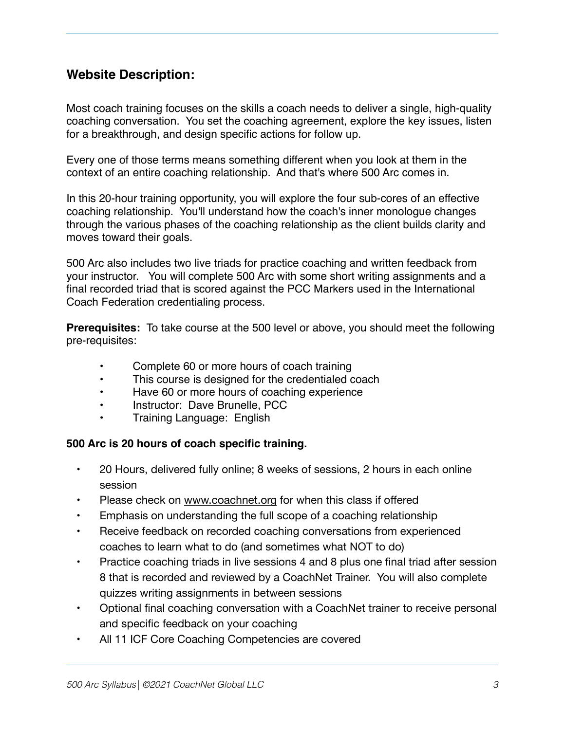#### **Website Description:**

Most coach training focuses on the skills a coach needs to deliver a single, high-quality coaching conversation. You set the coaching agreement, explore the key issues, listen for a breakthrough, and design specific actions for follow up.

Every one of those terms means something different when you look at them in the context of an entire coaching relationship. And that's where 500 Arc comes in.

In this 20-hour training opportunity, you will explore the four sub-cores of an effective coaching relationship. You'll understand how the coach's inner monologue changes through the various phases of the coaching relationship as the client builds clarity and moves toward their goals.

500 Arc also includes two live triads for practice coaching and written feedback from your instructor. You will complete 500 Arc with some short writing assignments and a final recorded triad that is scored against the PCC Markers used in the International Coach Federation credentialing process.

**Prerequisites:** To take course at the 500 level or above, you should meet the following pre-requisites:

- Complete 60 or more hours of coach training
- This course is designed for the credentialed coach
- Have 60 or more hours of coaching experience
- Instructor: Dave Brunelle, PCC
- Training Language: English

#### **500 Arc is 20 hours of coach specific training.**

- • 20 Hours, delivered fully online; 8 weeks of sessions, 2 hours in each online session
- Please check on [www.coachnet.org](http://www.coachnet.org) for when this class if offered
- Emphasis on understanding the full scope of a coaching relationship
- Receive feedback on recorded coaching conversations from experienced coaches to learn what to do (and sometimes what NOT to do)
- Practice coaching triads in live sessions 4 and 8 plus one final triad after session 8 that is recorded and reviewed by a CoachNet Trainer. You will also complete quizzes writing assignments in between sessions
- Optional final coaching conversation with a CoachNet trainer to receive personal and specific feedback on your coaching
- All 11 ICF Core Coaching Competencies are covered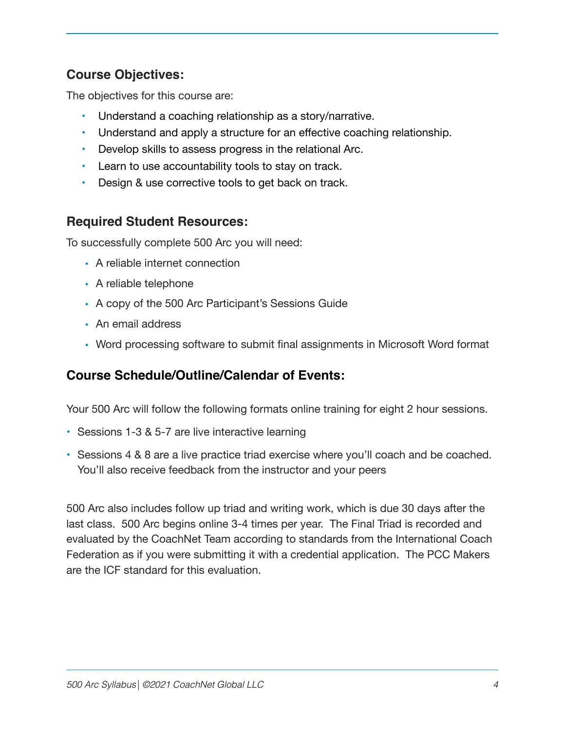# **Course Objectives:**

The objectives for this course are:

- Understand a coaching relationship as a story/narrative.
- Understand and apply a structure for an effective coaching relationship.
- Develop skills to assess progress in the relational Arc.
- Learn to use accountability tools to stay on track.
- Design & use corrective tools to get back on track.

# **Required Student Resources:**

To successfully complete 500 Arc you will need:

- A reliable internet connection
- A reliable telephone
- A copy of the 500 Arc Participant's Sessions Guide
- An email address
- Word processing software to submit final assignments in Microsoft Word format

# **Course Schedule/Outline/Calendar of Events:**

Your 500 Arc will follow the following formats online training for eight 2 hour sessions.

- Sessions 1-3 & 5-7 are live interactive learning
- Sessions 4 & 8 are a live practice triad exercise where you'll coach and be coached. You'll also receive feedback from the instructor and your peers

500 Arc also includes follow up triad and writing work, which is due 30 days after the last class. 500 Arc begins online 3-4 times per year. The Final Triad is recorded and evaluated by the CoachNet Team according to standards from the International Coach Federation as if you were submitting it with a credential application. The PCC Makers are the ICF standard for this evaluation.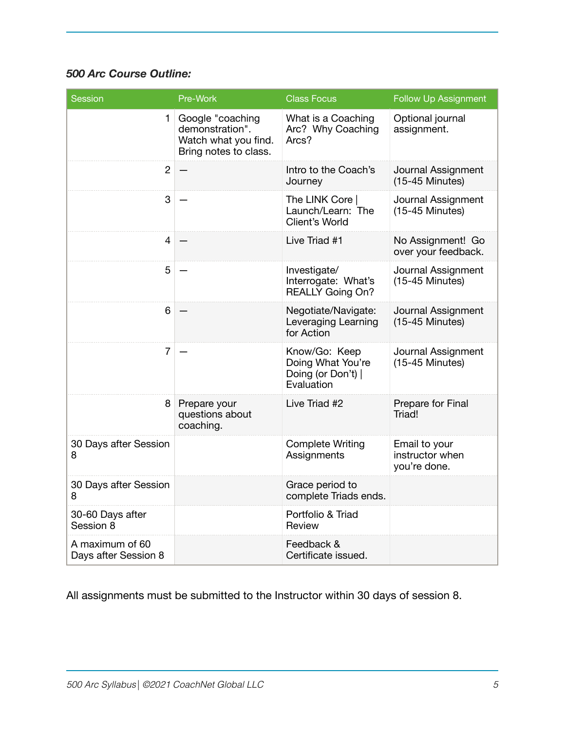#### *500 Arc Course Outline:*

| <b>Session</b>                          | Pre-Work                                                                             | <b>Class Focus</b>                                                     | <b>Follow Up Assignment</b>                      |
|-----------------------------------------|--------------------------------------------------------------------------------------|------------------------------------------------------------------------|--------------------------------------------------|
| 1.                                      | Google "coaching<br>demonstration".<br>Watch what you find.<br>Bring notes to class. | What is a Coaching<br>Arc? Why Coaching<br>Arcs?                       | Optional journal<br>assignment.                  |
| $\overline{2}$                          |                                                                                      | Intro to the Coach's<br>Journey                                        | Journal Assignment<br>$(15-45$ Minutes)          |
| 3                                       |                                                                                      | The LINK Core<br>Launch/Learn: The<br>Client's World                   | Journal Assignment<br>$(15-45$ Minutes)          |
| 4                                       |                                                                                      | Live Triad #1                                                          | No Assignment! Go<br>over your feedback.         |
| 5                                       |                                                                                      | Investigate/<br>Interrogate: What's<br><b>REALLY Going On?</b>         | Journal Assignment<br>$(15-45$ Minutes)          |
| 6                                       |                                                                                      | Negotiate/Navigate:<br>Leveraging Learning<br>for Action               | Journal Assignment<br>$(15-45$ Minutes)          |
| $\overline{7}$                          |                                                                                      | Know/Go: Keep<br>Doing What You're<br>Doing (or Don't)  <br>Evaluation | Journal Assignment<br>$(15-45$ Minutes)          |
| 8 <sup>1</sup>                          | Prepare your<br>questions about<br>coaching.                                         | Live Triad #2                                                          | Prepare for Final<br>Triad!                      |
| 30 Days after Session<br>8              |                                                                                      | <b>Complete Writing</b><br>Assignments                                 | Email to your<br>instructor when<br>you're done. |
| 30 Days after Session<br>8              |                                                                                      | Grace period to<br>complete Triads ends.                               |                                                  |
| 30-60 Days after<br>Session 8           |                                                                                      | Portfolio & Triad<br>Review                                            |                                                  |
| A maximum of 60<br>Days after Session 8 |                                                                                      | Feedback &<br>Certificate issued.                                      |                                                  |

All assignments must be submitted to the Instructor within 30 days of session 8.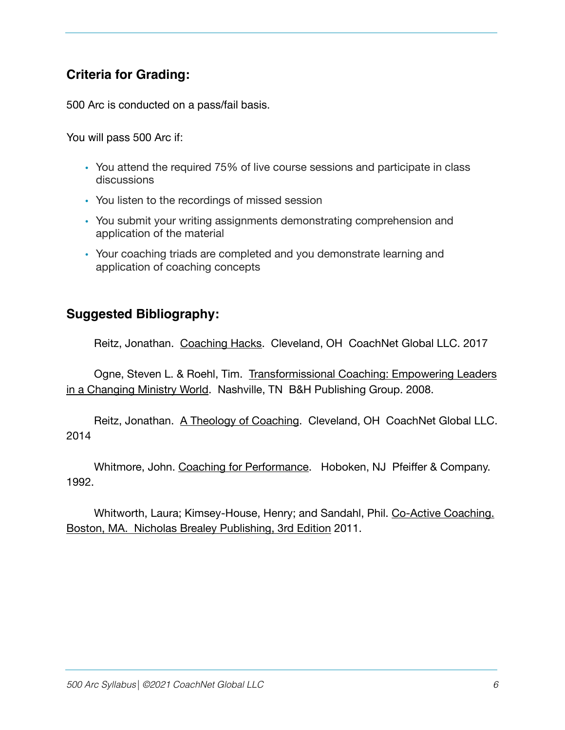# **Criteria for Grading:**

500 Arc is conducted on a pass/fail basis.

You will pass 500 Arc if:

- You attend the required 75% of live course sessions and participate in class discussions
- You listen to the recordings of missed session
- You submit your writing assignments demonstrating comprehension and application of the material
- Your coaching triads are completed and you demonstrate learning and application of coaching concepts

#### **Suggested Bibliography:**

Reitz, Jonathan. Coaching Hacks. Cleveland, OH CoachNet Global LLC. 2017

Ogne, Steven L. & Roehl, Tim. Transformissional Coaching: Empowering Leaders [in a Changing Ministry World](http://amzn.to/1JKNVnw). Nashville, TN B&H Publishing Group. 2008.

Reitz, Jonathan. [A Theology of Coaching](https://coachnet.leadpages.net/a-theology-of-coaching-coachnet/). Cleveland, OH CoachNet Global LLC. 2014

Whitmore, John. [Coaching for Performance.](http://amzn.to/1AZ6BLn) Hoboken, NJ Pfeiffer & Company. 1992.

Whitworth, Laura; Kimsey-House, Henry; and Sandahl, Phil. [Co-Active Coaching.](http://amzn.to/1EHPMW0)  [Boston, MA. Nicholas Brealey Publishing, 3rd Edition](http://amzn.to/1EHPMW0) 2011.